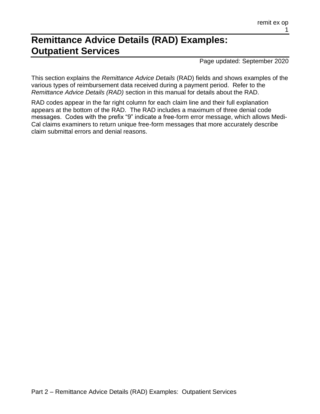# **Remittance Advice Details (RAD) Examples: Outpatient Services**

Page updated: September 2020

This section explains the *Remittance Advice Details* (RAD) fields and shows examples of the various types of reimbursement data received during a payment period. Refer to the *Remittance Advice Details (RAD)* section in this manual for details about the RAD.

RAD codes appear in the far right column for each claim line and their full explanation appears at the bottom of the RAD. The RAD includes a maximum of three denial code messages. Codes with the prefix "9" indicate a free-form error message, which allows Medi-Cal claims examiners to return unique free-form messages that more accurately describe claim submittal errors and denial reasons.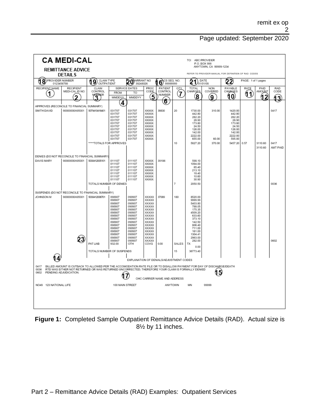|                                                                    | <b>CA MEDI-CAL</b>                                                                                                                                                                                                                                |                                          |                                                                                                                                                              |                                                                                                                                                           |                                                                                                                                                             |                                     |              | TO: ABC PROVIDER                                                                                                                                                              | P.O. BOX 999                                                                   |                                                                                                             |             |                                 |                  |  |
|--------------------------------------------------------------------|---------------------------------------------------------------------------------------------------------------------------------------------------------------------------------------------------------------------------------------------------|------------------------------------------|--------------------------------------------------------------------------------------------------------------------------------------------------------------|-----------------------------------------------------------------------------------------------------------------------------------------------------------|-------------------------------------------------------------------------------------------------------------------------------------------------------------|-------------------------------------|--------------|-------------------------------------------------------------------------------------------------------------------------------------------------------------------------------|--------------------------------------------------------------------------------|-------------------------------------------------------------------------------------------------------------|-------------|---------------------------------|------------------|--|
|                                                                    | <b>REMITTANCE ADVICE</b><br><b>DETAILS</b>                                                                                                                                                                                                        |                                          |                                                                                                                                                              |                                                                                                                                                           |                                                                                                                                                             |                                     |              |                                                                                                                                                                               | ANYTOWN, CA 99999-1234<br>REFER TO PROVIDER MANUAL FOR DEFINITION OF RAD CODES |                                                                                                             |             |                                 |                  |  |
| PROVIDER NUMBER<br>(18<br>0123456789                               |                                                                                                                                                                                                                                                   | CLAIM TYPE<br>9<br>OUTPATIENT            |                                                                                                                                                              | VARRANT NO<br>2<br>Ω<br>39248026                                                                                                                          |                                                                                                                                                             | CS SEQ. NO.<br>6<br>99999999        |              | 21                                                                                                                                                                            | DATE<br>01/01/08                                                               | 22<br>PAGE: 1 of 1 pages                                                                                    |             |                                 |                  |  |
| RECIPIENT NAME<br>1                                                | <b>RECIPIENT</b><br>MEDI-CAL ID NO.<br>כי                                                                                                                                                                                                         | CLAIM<br>CONTROL<br>ommer<br>T           | <b>FROM</b><br>MMDDYX                                                                                                                                        | SERVICE DATES<br>TO<br>MMDDYY                                                                                                                             | PROC<br>CODE<br>5                                                                                                                                           | <b>PATIENT</b><br>CONTROL<br>NUMBER | QTY<br>7     | <b>TOTAL</b><br>CHARGES<br>8                                                                                                                                                  | <b>NON</b><br>COVERED<br>Q                                                     | PAYABLE<br>CHARGES<br>10                                                                                    | RATE<br>(11 | PAID<br><b>AMOUNT</b><br>4<br>2 | RAD<br>CODE<br>٩ |  |
| APPROVES (RECONCILE TO FINANCIAL SUMMARY)                          |                                                                                                                                                                                                                                                   |                                          | 4                                                                                                                                                            |                                                                                                                                                           |                                                                                                                                                             | 6                                   |              |                                                                                                                                                                               |                                                                                |                                                                                                             |             |                                 |                  |  |
| SMITH DAVID                                                        | 90000000A95001                                                                                                                                                                                                                                    | 5079410416401<br>****TOTALS FOR APPROVES | 031707<br>031707<br>031707<br>031707<br>031707<br>031707<br>031707<br>031707<br>031707<br>031707                                                             | 031707<br>031707<br>031707<br>031707<br>031707<br>031707<br>031707<br>031707<br>031707<br>031707                                                          | XXXXXX<br>XXXXXX<br><b>XXXXXX</b><br>XXXXXX<br>XXXXXX<br>XXXXXX<br>XXXXXX<br>XXXXXX<br>XXXXXX<br>XXXXXX                                                     | 39830                               | 20<br>10     | 1730.00<br>442.80<br>282 20<br>28.90<br>173.80<br>24.50<br>126.00<br>142.00<br>2222.00<br>655.00<br>5827.20                                                                   | 310.00<br>60.00<br>370.00                                                      | 1420.00<br>442.80<br>282.20<br>28.90<br>173.80<br>24.50<br>126.00<br>142.00<br>2222.00<br>595.00<br>5457.20 | 0.57        | 3110.60                         | 0417<br>0417     |  |
|                                                                    |                                                                                                                                                                                                                                                   |                                          |                                                                                                                                                              |                                                                                                                                                           |                                                                                                                                                             |                                     |              |                                                                                                                                                                               |                                                                                |                                                                                                             |             | 3110.60                         | AMT PAID         |  |
| DENIES (DO NOT RECONCILE TO FINANCIAL SUMMARY<br><b>DAVIS MARY</b> | 90000000A95001                                                                                                                                                                                                                                    | 5030412005101<br>TOTALS NUMBER OF DENIES | 011107<br>011107<br>011107<br>011107<br>011107<br>011107<br>011107                                                                                           | 011107<br>011107<br>011107<br>011107<br>011107<br>011107<br>011107                                                                                        | XXXXXX<br>XXXXXX<br>XXXXXX<br>XXXXXX<br>XXXXXX<br>XXXXXX<br>XXXXXX                                                                                          | 39186                               | 7            | 598.10<br>1094.00<br>85.40<br>213.10<br>18.40<br>10.60<br>30.90<br>2050.50                                                                                                    |                                                                                |                                                                                                             |             |                                 | 0036             |  |
| SUSPENDS (DO NOT RECONCILE TO FINANCIAL SUMMARY)                   |                                                                                                                                                                                                                                                   |                                          |                                                                                                                                                              |                                                                                                                                                           |                                                                                                                                                             |                                     |              |                                                                                                                                                                               |                                                                                |                                                                                                             |             |                                 |                  |  |
| JOHNSON M                                                          | 90000000A95001<br>23                                                                                                                                                                                                                              | 5030412006701<br>PAT LIAB                | 090907<br>090907<br>090907<br>090907<br>090907<br>090907<br>090907<br>090907<br>090907<br>090907<br>090907<br>090907<br>090907<br>090907<br>090907<br>932.00 | 090907<br>090907<br>090907<br>090907<br>090907<br>090907<br>090907<br>090907<br>090907<br>090907<br>090907<br>090907<br>090907<br>090907<br>090907<br>OTH | XXXXX<br>XXXXX<br>XXXXX<br>XXXXX<br>XXXXX<br>XXXXX<br>XXXXX<br>XXXXX<br>XXXXX<br><b>XXXXXX</b><br><b>XXXXXX</b><br>XXXXX<br>XXXXX<br>XXXXX<br>XXXXX<br>COVG | 37089<br>0.00                       | 180<br>SALES | 8520.00<br>9999.99<br>5403.80<br>788.05<br>175.35<br>4509.20<br>633.60<br>373.10<br>142.50<br>806.40<br>711.00<br>161.00<br>1304.41<br>2963.00<br>282.00<br><b>TX</b><br>0.00 |                                                                                |                                                                                                             |             |                                 | 0602             |  |
|                                                                    |                                                                                                                                                                                                                                                   | TOTALS NUMBER OF SUSPENDS                |                                                                                                                                                              |                                                                                                                                                           |                                                                                                                                                             |                                     | 15           | 36773.40                                                                                                                                                                      |                                                                                |                                                                                                             |             |                                 |                  |  |
|                                                                    |                                                                                                                                                                                                                                                   |                                          |                                                                                                                                                              | EXPLANATION OF DENIALS/ADJUSTMENT CODES                                                                                                                   |                                                                                                                                                             |                                     |              |                                                                                                                                                                               |                                                                                |                                                                                                             |             |                                 |                  |  |
| 0417<br>0036<br>0602                                               | BILLED AMOUNT IS CUTBACK TO ALLOWED PER THE ACCOMODATION RATE FILE OR TO DISALLOW PAYMENT FOR DAY OF DISCHARGE/DEATH<br>RTD WAS EITHER NOT RETURNED OR WAS RETURNED UNCORRECTED; THEREFORE YOUR CLAIM IS FORMALLY DENIED<br>PENDING ADJUDICATION. |                                          |                                                                                                                                                              |                                                                                                                                                           |                                                                                                                                                             | OHC CARRIER NAME AND ADDRESS        |              |                                                                                                                                                                               | 5                                                                              |                                                                                                             |             |                                 |                  |  |
| NO49 123 NATIONAL LIFE                                             |                                                                                                                                                                                                                                                   |                                          | 100 MAIN STREET                                                                                                                                              |                                                                                                                                                           |                                                                                                                                                             | <b>ANYTOWN</b>                      |              | MN                                                                                                                                                                            | 99999                                                                          |                                                                                                             |             |                                 |                  |  |

**Figure 1:** Completed Sample Outpatient Remittance Advice Details (RAD). Actual size is 8½ by 11 inches.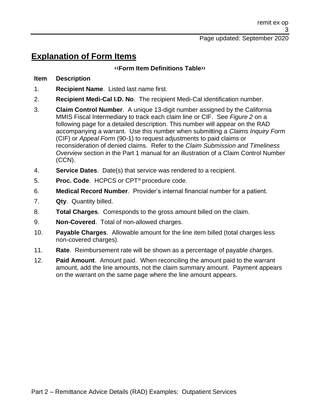## **Explanation of Form Items**

#### **[‹‹F](#page-7-0)orm Item Definitions Tabl[e››](#page-7-1)**

#### **Item Description**

1. **Recipient Name**. Listed last name first.

- 2. **Recipient Medi-Cal I.D. No**. The recipient Medi-Cal identification number.
- 3. **Claim Control Number**. A unique 13-digit number assigned by the California MMIS Fiscal Intermediary to track each claim line or CIF. See *Figure 2* on a following page for a detailed description. This number will appear on the RAD accompanying a warrant. Use this number when submitting a *Claims Inquiry Form* (CIF) or *Appeal Form* (90-1) to request adjustments to paid claims or reconsideration of denied claims. Refer to the *Claim Submission and Timeliness Overview* section in the Part 1 manual for an illustration of a Claim Control Number (CCN).
- 4. **Service Dates**. Date(s) that service was rendered to a recipient.
- 5. **Proc. Code**. HCPCS or CPT® procedure code.
- 6. **Medical Record Number**. Provider's internal financial number for a patient.
- 7. **Qty**. Quantity billed.
- 8. **Total Charges**. Corresponds to the gross amount billed on the claim.
- 9. **Non-Covered**. Total of non-allowed charges.
- 10. **Payable Charges**. Allowable amount for the line item billed (total charges less non-covered charges).
- 11. **Rate**. Reimbursement rate will be shown as a percentage of payable charges.
- 12. **Paid Amount**. Amount paid. When reconciling the amount paid to the warrant amount, add the line amounts, not the claim summary amount. Payment appears on the warrant on the same page where the line amount appears.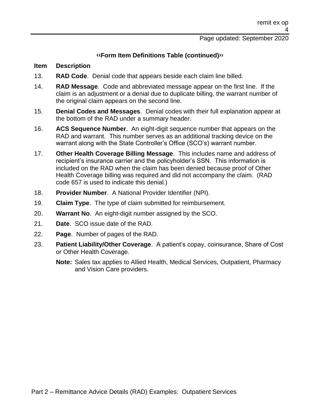#### **[‹‹F](#page-7-0)orm Item Definitions Table (continued[\)››](#page-7-1)**

#### **Item Description**

- 13. **RAD Code**. Denial code that appears beside each claim line billed.
- 14. **RAD Message**. Code and abbreviated message appear on the first line. If the claim is an adjustment or a denial due to duplicate billing, the warrant number of the original claim appears on the second line.
- 15. **Denial Codes and Messages**. Denial codes with their full explanation appear at the bottom of the RAD under a summary header.
- 16. **ACS Sequence Number**. An eight-digit sequence number that appears on the RAD and warrant. This number serves as an additional tracking device on the warrant along with the State Controller's Office (SCO's) warrant number.
- 17. **Other Health Coverage Billing Message**. This includes name and address of recipient's insurance carrier and the policyholder's SSN. This information is included on the RAD when the claim has been denied because proof of Other Health Coverage billing was required and did not accompany the claim. (RAD code 657 is used to indicate this denial.)
- 18. **Provider Number**. A National Provider Identifier (NPI).
- 19. **Claim Type**. The type of claim submitted for reimbursement.
- 20. **Warrant No**. An eight-digit number assigned by the SCO.
- 21. **Date**. SCO issue date of the RAD.
- 22. **Page**. Number of pages of the RAD.
- 23. **Patient Liability/Other Coverage**. A patient's copay, coinsurance, Share of Cost or Other Health Coverage.
	- **Note:** Sales tax applies to Allied Health, Medical Services, Outpatient, Pharmacy and Vision Care providers.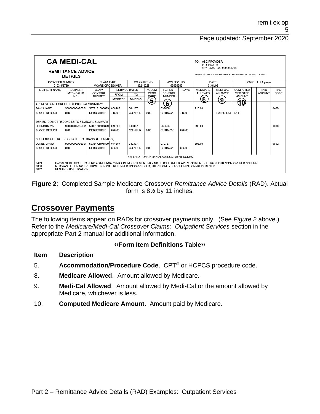|                                                                                                                                                                                                                                                                                    | <b>CA MEDI-CAL</b><br><b>REMITTANCE ADVICE</b> |                                             |                      |                        | TO: ABC PROVIDER<br>P.O. BOX 999<br>ANYTOWN, CA 99999-1234 |                          |        |                 |                  |                                                       |  |        |      |
|------------------------------------------------------------------------------------------------------------------------------------------------------------------------------------------------------------------------------------------------------------------------------------|------------------------------------------------|---------------------------------------------|----------------------|------------------------|------------------------------------------------------------|--------------------------|--------|-----------------|------------------|-------------------------------------------------------|--|--------|------|
|                                                                                                                                                                                                                                                                                    | <b>DETAILS</b>                                 |                                             |                      |                        |                                                            |                          |        |                 |                  | REFER TO PROVIDER MANUAL FOR DEFINITION OF RAD CODES. |  |        |      |
| PROVIDER NUMBER<br>0123456789                                                                                                                                                                                                                                                      |                                                | <b>CLAIM TYPE</b><br><b>MCARE CROSSOVER</b> |                      | WARRANT NO<br>39248026 |                                                            | ACS SEQ NO<br>99999999   |        |                 | DATE<br>01/01/08 | PAGE: 1 of 1 pages                                    |  |        |      |
| <b>RECIPIENT NAME</b>                                                                                                                                                                                                                                                              | <b>RECIPIENT</b>                               | CLAIM                                       | <b>SERVICE DATES</b> |                        | <b>ACCOM/</b>                                              | PATIFNT                  | DAYS   | <b>MEDICARE</b> | MFDI-CAL         | COMPUTED                                              |  | PAID   | RAD  |
|                                                                                                                                                                                                                                                                                    | MEDI-CAL ID<br>NO.                             | CONTROL<br><b>NUMBER</b>                    | <b>FROM</b>          | TO                     | PROC<br>CODE                                               | CONTROL<br><b>NUMBER</b> |        | ALLOWED         | ALLOWED          | MEDICARE<br><b>AMOUNT</b>                             |  | AMOUNT | CODE |
|                                                                                                                                                                                                                                                                                    |                                                |                                             | <b>MMDDYY</b>        | <b>MMDDYY</b>          | 5                                                          |                          |        | 8               | $\overline{9}$   |                                                       |  |        |      |
| APPROVES (RECONCILE TO FINANCIAL SUMMARY)                                                                                                                                                                                                                                          |                                                |                                             |                      |                        |                                                            | $\mathbf{\widehat{6}}$   |        |                 |                  | 10                                                    |  |        |      |
| DAVIS JANE                                                                                                                                                                                                                                                                         | 90000000A95001                                 | 5079171505699                               | 060107               | 061107                 |                                                            | 039634                   |        | 716.00          |                  |                                                       |  |        | 0469 |
| BLOOD DEDUCT                                                                                                                                                                                                                                                                       | 0.00                                           | <b>DEDUCTIBLE</b>                           | 716.00               | <b>COINSUR</b>         | 0.00                                                       | <b>CUTBACK</b>           | 716.00 |                 | <b>SALES TAX</b> | <b>INCL</b>                                           |  |        |      |
| DENIES (DO NOT RECONCILE TO FINANCIAL SUMMARY)                                                                                                                                                                                                                                     |                                                |                                             |                      |                        |                                                            |                          |        |                 |                  |                                                       |  |        |      |
| JOHNSON MA                                                                                                                                                                                                                                                                         | 90000000A95001                                 | 5006170703899                               | 040307               | 040307                 |                                                            | 039305                   |        | 696.00          |                  |                                                       |  |        | 0036 |
| <b>BLOOD DEDUCT</b>                                                                                                                                                                                                                                                                | 0.00                                           | <b>DEDUCTIBLE</b>                           | 696.00               | <b>COINSUR</b>         | 0.00                                                       | <b>CUTBACK</b>           | 696.00 |                 |                  |                                                       |  |        |      |
| SUSPENDS (DO NOT RECONCILE TO FINANCIAL SUMMARY)                                                                                                                                                                                                                                   |                                                |                                             |                      |                        |                                                            |                          |        |                 |                  |                                                       |  |        |      |
| JONES DAVID                                                                                                                                                                                                                                                                        | 90000000A95001                                 | 5033172401899                               | 041607               | 042307                 |                                                            | 039357                   |        | 696.00          |                  |                                                       |  |        | 0602 |
| BLOOD DEDUCT                                                                                                                                                                                                                                                                       | 0.00                                           | <b>DEDUCTIBLE</b>                           | 696.00               | <b>COINSUR</b>         | 0.00                                                       | <b>CUTBACK</b>           | 696.00 |                 |                  |                                                       |  |        |      |
|                                                                                                                                                                                                                                                                                    |                                                |                                             |                      |                        |                                                            |                          |        |                 |                  |                                                       |  |        |      |
|                                                                                                                                                                                                                                                                                    | EXPLANATION OF DENIALS/ADJUSTMENT CODES        |                                             |                      |                        |                                                            |                          |        |                 |                  |                                                       |  |        |      |
| 0469<br>PAYMENT REDUCED TO ZERO AS MEDI-CAL'S MAX REIMBURSEMENT MAY NOT EXCEED MEDICARE'S PAYMENT. CUTBACK IS IN NON-COVERED COLUMN.<br>0036<br>RTD WAS EITHER NOT RETURNED OR WAS RETURNED UNCORRECTED: THEREFORE YOUR CLAIM IS FORMALLY DENIED.<br>0602<br>PENDING ADJUDICATION. |                                                |                                             |                      |                        |                                                            |                          |        |                 |                  |                                                       |  |        |      |

**Figure 2**: Completed Sample Medicare Crossover *Remittance Advice Details* (RAD). Actual form is 8½ by 11 inches.

## **Crossover Payments**

The following items appear on RADs for crossover payments only. (See *Figure 2* above.) Refer to the *Medicare/Medi-Cal Crossover Claims: Outpatient Services* section in the appropriate Part 2 manual for additional information.

#### **[‹‹F](#page-7-0)orm Item Definitions Tabl[e››](#page-7-1)**

#### **Item Description**

- 5. **Accommodation/Procedure Code**. CPT® or HCPCS procedure code.
- 8. **Medicare Allowed**. Amount allowed by Medicare.
- 9. **Medi-Cal Allowed**. Amount allowed by Medi-Cal or the amount allowed by Medicare, whichever is less.
- 10. **Computed Medicare Amount**. Amount paid by Medicare.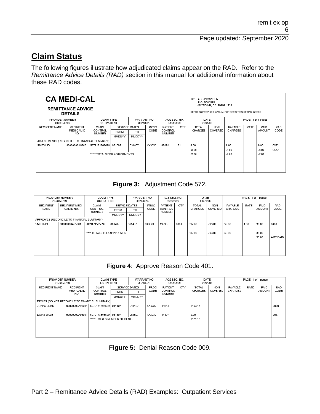## **Claim Status**

The following figures illustrate how adjudicated claims appear on the RAD. Refer to the *Remittance Advice Details (RAD)* section in this manual for additional information about these RAD codes.

|                                              | <b>CA MEDI-CAL</b><br><b>REMITTANCE ADVICE</b><br><b>DETAILS</b> |                              |               |                        |       |                          |     | ABC PROVIDER<br>TO.<br>P.O. BOX 999 | ANYTOWN, CA 99999-1234 | REFER TO PROVIDER MANUAL FOR DEFINITION OF RAD CODES |      |               |            |
|----------------------------------------------|------------------------------------------------------------------|------------------------------|---------------|------------------------|-------|--------------------------|-----|-------------------------------------|------------------------|------------------------------------------------------|------|---------------|------------|
| PROVIDER NUMBER<br>0123456789                |                                                                  | CLAIM TYPE<br>OUTPATIENT     |               | WARRANT NO<br>39248026 |       | ACS SEQ. NO.<br>99999999 |     | DATE<br>01/01/08                    |                        | PAGE: 1 of 1 pages                                   |      |               |            |
| <b>RECIPIENT NAME</b>                        | <b>RECIPIENT</b>                                                 | CLAIM                        |               | <b>SERVICE DATES</b>   | PROC  | PATIENT                  | QTY | <b>TOTAL</b>                        | <b>NON</b>             | PAYABLE                                              | RATE | PAID          | <b>RAD</b> |
|                                              | MEDI-CAL ID<br>NO.                                               | CONTROL<br><b>NUMBER</b>     | <b>FROM</b>   | TO                     | CODE  | CONTROL<br><b>NUMBER</b> |     | <b>CHARGES</b>                      | COVERED                | <b>CHARGES</b>                                       |      | <b>AMOUNT</b> | CODE       |
|                                              |                                                                  |                              | <b>MMDDYY</b> | <b>MMDDYY</b>          |       |                          |     |                                     |                        |                                                      |      |               |            |
| ADJUSTMENTS (RECONCILE TO FINANCIAL SUMMARY) |                                                                  |                              |               |                        |       |                          |     |                                     |                        |                                                      |      |               |            |
| SMITH JO                                     | 90000000A95001                                                   | 5079171505699                | 031007        | 031007                 | XXXXX | 98892                    | 31  | 6.00                                |                        | 6.00                                                 |      | 6.00          | 0572       |
|                                              |                                                                  |                              |               |                        |       |                          |     | $-8.00$                             |                        | $-8.00$                                              |      | $-8.00$       | 0572       |
|                                              |                                                                  | ***** TOTALS FOR ADJUSTMENTS |               |                        |       |                          |     | $-2.00$                             |                        | $-2.00$                                              |      | $-2.00$       |            |

#### **Figure 3:** Adjustment Code 572.

| PROVIDER NUMBER<br>0123456789 |               |                                                                |                                 |                                             | ACS SEQ. NO.<br>99999999       |                          | DATE<br>01/01/08 |                | PAGE: 1 of 1 pages |                |       |          |
|-------------------------------|---------------|----------------------------------------------------------------|---------------------------------|---------------------------------------------|--------------------------------|--------------------------|------------------|----------------|--------------------|----------------|-------|----------|
| <b>RECIPIENT MEDI-</b>        | CLAIM         |                                                                | PROC                            |                                             | <b>PATIENT</b>                 | QTY                      | <b>TOTAL</b>     | <b>NON</b>     | PAYABLE            | RATE           | PAID  | RAD      |
|                               |               | <b>FROM</b>                                                    | T <sub>O</sub>                  |                                             |                                |                          |                  |                |                    |                |       | CODE     |
|                               |               | MMDDYY                                                         | MMDDYY                          |                                             |                                |                          |                  |                |                    |                |       |          |
|                               |               |                                                                |                                 |                                             |                                |                          |                  |                |                    |                |       |          |
| 90000000A95001                | 5079171505699 | 061407                                                         | 061407                          | XXXXX                                       | 13938                          | 0001                     | 832.00           | 793.00         | 39.00              | 1.00           | 39.00 | 0401     |
|                               |               |                                                                |                                 |                                             |                                |                          |                  |                |                    |                |       |          |
|                               |               |                                                                |                                 |                                             |                                |                          | 832.00           | 793.00         | 39.00              |                | 39.00 |          |
|                               |               |                                                                |                                 |                                             |                                |                          |                  |                |                    |                | 39.00 | AMT PAID |
|                               |               |                                                                |                                 |                                             |                                |                          |                  |                |                    |                |       |          |
|                               |               |                                                                |                                 |                                             |                                |                          |                  |                |                    |                |       |          |
|                               |               |                                                                |                                 |                                             |                                |                          |                  |                |                    |                |       |          |
|                               | CAL ID NO.    | CONTROL<br>NUMBER<br>APPROVES (RECONCILE TO FINANCIAL SUMMARY) | <b>CLAIM TYPE</b><br>OUTPATIENT | SERVICE DATES<br>***** TOTALS FOR APPPROVES | WARRANT NO<br>39248026<br>CODE | CONTROL<br><b>NUMBER</b> |                  | <b>CHARGES</b> | COVERED            | <b>CHARGES</b> |       | AMOUNT   |

#### **Figure 4**: Approve Reason Code 401.

| CLAIM TYPE<br>PROVIDER NUMBER<br>OUTPATIENT<br>0123456789 |                                 | WARRANT NO<br>39248026        |             |                       |       | ACS SEQ. NO.<br>99999999 |     | DATE<br>01/01/08        |                       | PAGE: 1 of 1 pages        |      |        |                    |
|-----------------------------------------------------------|---------------------------------|-------------------------------|-------------|-----------------------|-------|--------------------------|-----|-------------------------|-----------------------|---------------------------|------|--------|--------------------|
| <b>RECIPIENT NAME</b>                                     | <b>RECIPIENT</b><br>MEDI-CAL ID | CLAIM<br>CONTROL              |             | PROC<br>SERVICE DATES |       | PATIENT<br>CONTROL       | QTY | TOTAL<br><b>CHARGES</b> | <b>NON</b><br>COVERED | PAYABLE<br><b>CHARGES</b> | RATE | PAID   | <b>RAD</b><br>CODE |
|                                                           | NO.                             | NUMBER                        | <b>FROM</b> | TO.                   | CODE  | NUMBER                   |     |                         |                       |                           |      | AMOUNT |                    |
|                                                           |                                 |                               | MMDDYY      | <b>MMDDYY</b>         |       |                          |     |                         |                       |                           |      |        |                    |
| DENIES (DO NOT RECONCILE TO FINANCIAL SUMMARY)            |                                 |                               |             |                       |       |                          |     |                         |                       |                           |      |        |                    |
| JONES JOHN                                                | 90000000A95001                  | 5079171505699 041107          |             | 041107                | XXXXX | 13654                    |     | 1163.15                 |                       |                           |      |        | 0009               |
|                                                           |                                 |                               |             |                       |       |                          |     |                         |                       |                           |      |        |                    |
| DAVIS DAVE                                                | 90000000A95001                  | 5079173305699 061507          |             | 061507                | XXXXX | 14197                    |     | 8.00                    |                       |                           |      |        | 0037               |
|                                                           |                                 | ***** TOTALS NUMBER OF DENIES |             |                       |       |                          |     | 1171.15                 |                       |                           |      |        |                    |
|                                                           |                                 |                               |             |                       |       |                          |     |                         |                       |                           |      |        |                    |
|                                                           |                                 |                               |             |                       |       |                          |     |                         |                       |                           |      |        |                    |
|                                                           |                                 |                               |             |                       |       |                          |     |                         |                       |                           |      |        |                    |
|                                                           |                                 |                               |             |                       |       |                          |     |                         |                       |                           |      |        |                    |

**Figure 5:** Denial Reason Code 009.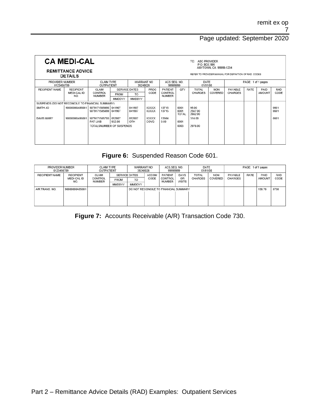|                                                  | <b>CA MEDI-CAL</b><br><b>REMITTANCE ADVICE</b><br><b>DETAILS</b> |                                |                          |                      |                       |                   |                              | TO.<br>ABC PROVIDER<br>P.O. BOX 999 | ANYTOWN, CA 99999-1234 | REFER TO PROVIDER MANUAL FOR DEFINITION OF RAD CODES |      |               |              |
|--------------------------------------------------|------------------------------------------------------------------|--------------------------------|--------------------------|----------------------|-----------------------|-------------------|------------------------------|-------------------------------------|------------------------|------------------------------------------------------|------|---------------|--------------|
| PROVIDER NUMBER<br>0123456789                    | WARRANT NO<br>39248026                                           |                                | ACS SEQ. NO.<br>99999999 |                      | DATE<br>01/01/08      |                   | PAGE: 1 of 1 pages           |                                     |                        |                                                      |      |               |              |
| <b>RECIPIENT NAME</b>                            | <b>RECIPIENT</b>                                                 | CLAIM                          |                          | <b>SERVICE DATES</b> | PROC                  | PATIENT           | QTY                          | <b>TOTAL</b>                        | <b>NON</b>             | PAYABLE                                              | RATE | PAID          | RAD          |
|                                                  | MEDI-CAL ID<br>NO.                                               | CONTROL<br><b>NUMBER</b>       | <b>FROM</b>              | T <sub>O</sub>       | CODE                  | CONTROL<br>NUMBER |                              | CHARGES                             | COVERED                | CHARGES                                              |      | <b>AMOUNT</b> | CODE         |
|                                                  |                                                                  |                                | <b>MMDDYY</b>            | <b>MMDDYY</b>        |                       |                   |                              |                                     |                        |                                                      |      |               |              |
| SUSPENDS (DO NOT RECONCILE TO FINANCIAL SUMMARY) |                                                                  |                                |                          |                      |                       |                   |                              |                                     |                        |                                                      |      |               |              |
| SMITH JO                                         | 90000000A95001                                                   | 5079171505698<br>5079171505699 | 041907<br>041907         | 041907<br>041907     | <b>XXXXX</b><br>XXXXX | 13715<br>13715    | 0001<br>0001<br><b>TOTAL</b> | 95.00<br>2567.00<br>2662.00         |                        |                                                      |      |               | 0601<br>0601 |
| <b>DAVIS MARY</b>                                | 90000000A95001                                                   | 5079171505700<br>PAT LIAB      | 052807<br>932.00         | 052807<br>OTH        | XXXXX<br>COVG         | 13564<br>0.00     | 0001                         | 314.00                              |                        |                                                      |      |               | 0601         |
|                                                  |                                                                  | TOTALSNUMBER OF SUSPENDS       |                          |                      |                       |                   | 0003                         | 2976.00                             |                        |                                                      |      |               |              |

### **Figure 6:** Suspended Reason Code 601.

| <b>CLAIM TYPE</b><br>PROVIDER NUMBER<br>0123456789<br>OUTPATIENT |                                        |                            | WARRANT NO<br>39248026 |                                       | ACS SEQ. NO.<br>99999999 |                                     | DATE<br>01/01/08                   |                         | PAGE: 1 of 1 pages |                           |      |                |                    |
|------------------------------------------------------------------|----------------------------------------|----------------------------|------------------------|---------------------------------------|--------------------------|-------------------------------------|------------------------------------|-------------------------|--------------------|---------------------------|------|----------------|--------------------|
| <b>RECIPIENT NAME</b>                                            | <b>RECIPIENT</b><br>MEDI-CAL ID<br>NO. | CLAIM<br>CONTROL<br>NUMBER | <b>FROM</b>            | <b>SERVICE DATES</b><br>TO            | <b>ACCOM</b><br>CODE     | <b>PATIENT</b><br>CONTROL<br>NUMBER | <b>DAYS</b><br>OR<br><b>VISITS</b> | TOTAL<br><b>CHARGES</b> | NON<br>COVERED     | PAYABLE<br><b>CHARGES</b> | RATE | PAID<br>AMOUNT | <b>RAD</b><br>CODE |
|                                                                  |                                        |                            | MMDDYY                 | <b>MMDDYY</b>                         |                          |                                     |                                    |                         |                    |                           |      |                |                    |
| A/R TRANS, NO.                                                   | 90000000A95001                         |                            |                        | DO NOT RECONCILE TO FINANCIAL SUMMARY |                          |                                     |                                    |                         |                    |                           |      | 156.76         | 0730               |
|                                                                  |                                        |                            |                        |                                       |                          |                                     |                                    |                         |                    |                           |      |                |                    |
|                                                                  |                                        |                            |                        |                                       |                          |                                     |                                    |                         |                    |                           |      |                |                    |
|                                                                  |                                        |                            |                        |                                       |                          |                                     |                                    |                         |                    |                           |      |                |                    |

**Figure 7:** Accounts Receivable (A/R) Transaction Code 730.